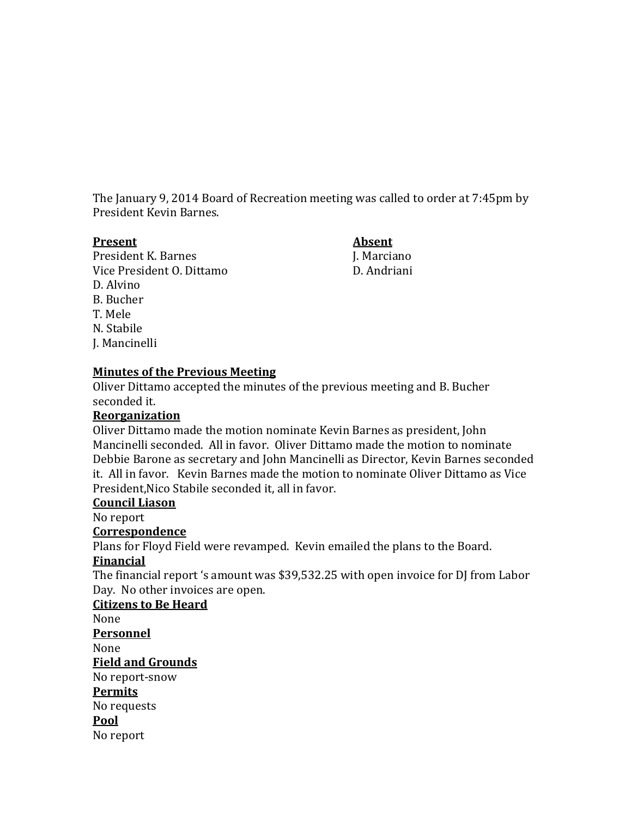The January 9, 2014 Board of Recreation meeting was called to order at 7:45pm by President Kevin Barnes.

President K. Barnes<br>Vice President O. Dittamo<br>Vice President O. Dittamo Vice President O. Dittamo D. Alvino B. Bucher T. Mele N. Stabile J. Mancinelli

**Present Absent**

## **Minutes of the Previous Meeting**

Oliver Dittamo accepted the minutes of the previous meeting and B. Bucher seconded it.

### **Reorganization**

Oliver Dittamo made the motion nominate Kevin Barnes as president, John Mancinelli seconded. All in favor. Oliver Dittamo made the motion to nominate Debbie Barone as secretary and John Mancinelli as Director, Kevin Barnes seconded it. All in favor. Kevin Barnes made the motion to nominate Oliver Dittamo as Vice President,Nico Stabile seconded it, all in favor.

#### **Council Liason**

No report

### **Correspondence**

Plans for Floyd Field were revamped. Kevin emailed the plans to the Board. **Financial**

The financial report 's amount was \$39,532.25 with open invoice for DJ from Labor Day. No other invoices are open.

### **Citizens to Be Heard**

None

#### **Personnel**

None

### **Field and Grounds**

No report-snow

### **Permits**

No requests

# **Pool**

No report